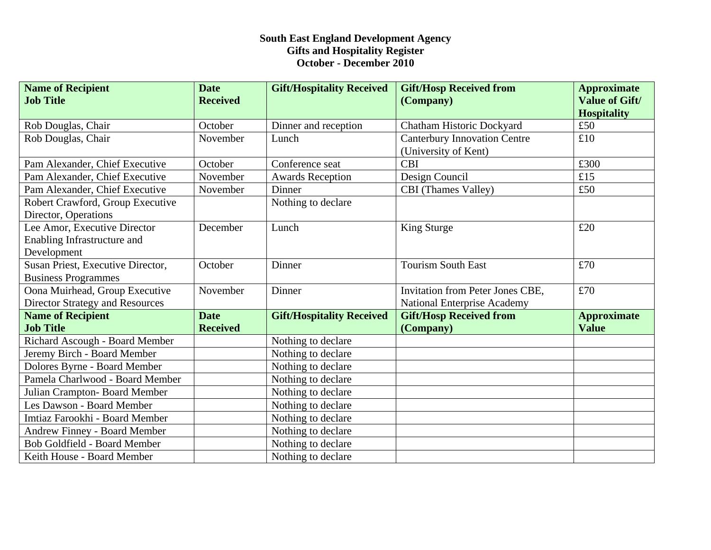## **South East England Development Agency Gifts and Hospitality Register October - December 2010**

| <b>Name of Recipient</b><br><b>Job Title</b>     | <b>Date</b><br><b>Received</b> | <b>Gift/Hospitality Received</b> | <b>Gift/Hosp Received from</b><br>(Company) | <b>Approximate</b><br><b>Value of Gift/</b> |
|--------------------------------------------------|--------------------------------|----------------------------------|---------------------------------------------|---------------------------------------------|
|                                                  |                                |                                  |                                             | <b>Hospitality</b>                          |
| Rob Douglas, Chair                               | October                        | Dinner and reception             | Chatham Historic Dockyard                   | £50                                         |
| Rob Douglas, Chair                               | November                       | Lunch                            | <b>Canterbury Innovation Centre</b>         | £10                                         |
|                                                  |                                |                                  | (University of Kent)                        |                                             |
| Pam Alexander, Chief Executive                   | October                        | Conference seat                  | <b>CBI</b>                                  | £300                                        |
| Pam Alexander, Chief Executive                   | November                       | <b>Awards Reception</b>          | Design Council                              | £15                                         |
| Pam Alexander, Chief Executive                   | November                       | Dinner                           | CBI (Thames Valley)                         | £50                                         |
| Robert Crawford, Group Executive                 |                                | Nothing to declare               |                                             |                                             |
| Director, Operations                             |                                |                                  |                                             |                                             |
| Lee Amor, Executive Director                     | December                       | Lunch                            | King Sturge                                 | £20                                         |
| Enabling Infrastructure and                      |                                |                                  |                                             |                                             |
| Development<br>Susan Priest, Executive Director, | October                        | Dinner                           | <b>Tourism South East</b>                   | £70                                         |
| <b>Business Programmes</b>                       |                                |                                  |                                             |                                             |
| Oona Muirhead, Group Executive                   | November                       | Dinner                           | Invitation from Peter Jones CBE,            | £70                                         |
| <b>Director Strategy and Resources</b>           |                                |                                  | <b>National Enterprise Academy</b>          |                                             |
| <b>Name of Recipient</b>                         | <b>Date</b>                    | <b>Gift/Hospitality Received</b> | <b>Gift/Hosp Received from</b>              | <b>Approximate</b>                          |
| <b>Job Title</b>                                 | <b>Received</b>                |                                  | (Company)                                   | <b>Value</b>                                |
| Richard Ascough - Board Member                   |                                | Nothing to declare               |                                             |                                             |
| Jeremy Birch - Board Member                      |                                | Nothing to declare               |                                             |                                             |
| Dolores Byrne - Board Member                     |                                | Nothing to declare               |                                             |                                             |
| Pamela Charlwood - Board Member                  |                                | Nothing to declare               |                                             |                                             |
| Julian Crampton- Board Member                    |                                | Nothing to declare               |                                             |                                             |
| Les Dawson - Board Member                        |                                | Nothing to declare               |                                             |                                             |
| Imtiaz Farookhi - Board Member                   |                                | Nothing to declare               |                                             |                                             |
| <b>Andrew Finney - Board Member</b>              |                                | Nothing to declare               |                                             |                                             |
| <b>Bob Goldfield - Board Member</b>              |                                | Nothing to declare               |                                             |                                             |
| Keith House - Board Member                       |                                | Nothing to declare               |                                             |                                             |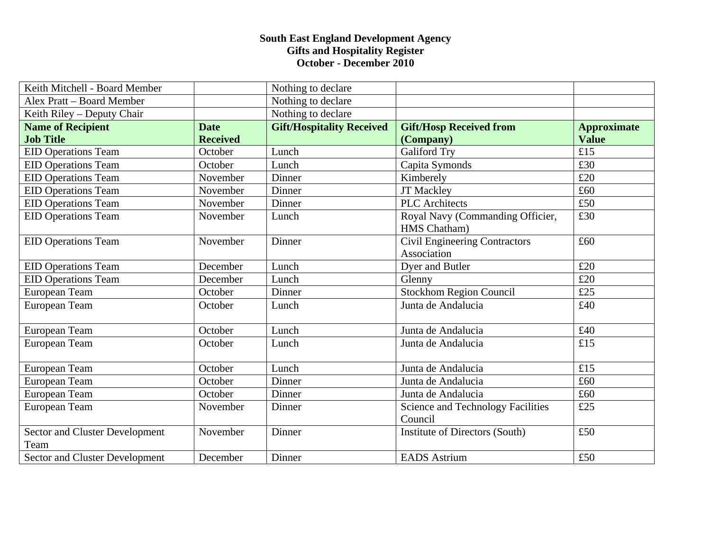## **South East England Development Agency Gifts and Hospitality Register October - December 2010**

| Keith Mitchell - Board Member          |                 | Nothing to declare               |                                                  |                    |
|----------------------------------------|-----------------|----------------------------------|--------------------------------------------------|--------------------|
| Alex Pratt - Board Member              |                 | Nothing to declare               |                                                  |                    |
| Keith Riley – Deputy Chair             |                 | Nothing to declare               |                                                  |                    |
| <b>Name of Recipient</b>               | <b>Date</b>     | <b>Gift/Hospitality Received</b> | <b>Gift/Hosp Received from</b>                   | <b>Approximate</b> |
| <b>Job Title</b>                       | <b>Received</b> |                                  | (Company)                                        | <b>Value</b>       |
| <b>EID Operations Team</b>             | October         | Lunch                            | <b>Galiford Try</b>                              | £15                |
| <b>EID Operations Team</b>             | October         | Lunch                            | Capita Symonds                                   | £30                |
| <b>EID Operations Team</b>             | November        | Dinner                           | Kimberely                                        | £20                |
| <b>EID Operations Team</b>             | November        | Dinner                           | <b>JT Mackley</b>                                | £60                |
| <b>EID Operations Team</b>             | November        | Dinner                           | <b>PLC</b> Architects                            | £50                |
| <b>EID Operations Team</b>             | November        | Lunch                            | Royal Navy (Commanding Officier,<br>HMS Chatham) | £30                |
| <b>EID Operations Team</b>             | November        | Dinner                           | Civil Engineering Contractors<br>Association     | £60                |
| <b>EID Operations Team</b>             | December        | Lunch                            | Dyer and Butler                                  | £20                |
| <b>EID Operations Team</b>             | December        | Lunch                            | Glenny                                           | £20                |
| European Team                          | October         | Dinner                           | <b>Stockhom Region Council</b>                   | £25                |
| European Team                          | October         | Lunch                            | Junta de Andalucia                               | £40                |
| European Team                          | October         | Lunch                            | Junta de Andalucia                               | £40                |
| European Team                          | October         | Lunch                            | Junta de Andalucia                               | £15                |
| European Team                          | October         | Lunch                            | Junta de Andalucia                               | £15                |
| European Team                          | October         | Dinner                           | Junta de Andalucia                               | £60                |
| European Team                          | October         | Dinner                           | Junta de Andalucia                               | £60                |
| European Team                          | November        | Dinner                           | Science and Technology Facilities<br>Council     | £25                |
| Sector and Cluster Development<br>Team | November        | Dinner                           | <b>Institute of Directors (South)</b>            | £50                |
| Sector and Cluster Development         | December        | Dinner                           | <b>EADS</b> Astrium                              | £50                |